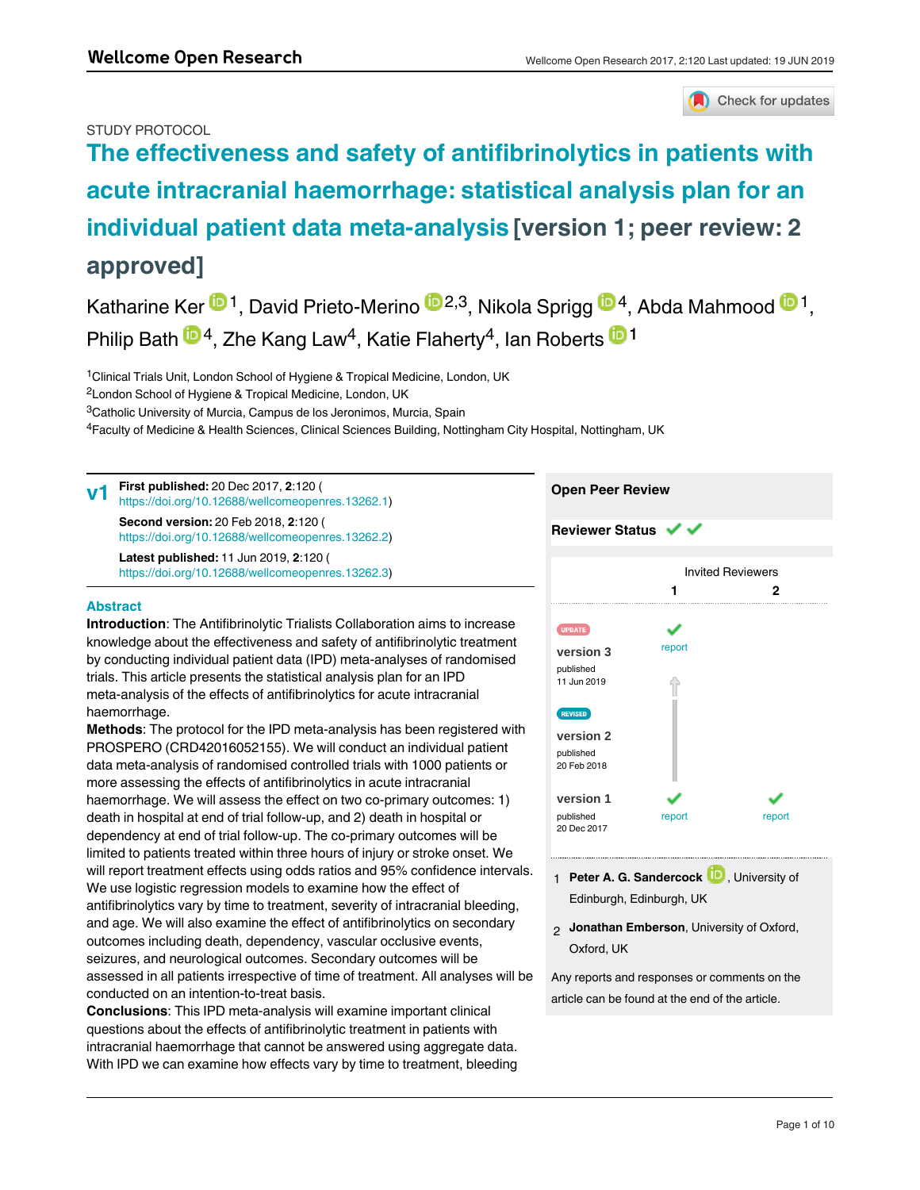Check for updates

# STUDY PROTOCOL

# **[The effectiveness and safety of antifibrinolytics in patients with](https://wellcomeopenresearch.org/articles/2-120/v1) [acute intracranial haemorrhage: statistical analysis plan for an](https://wellcomeopenresearch.org/articles/2-120/v1) [individual patient data meta-analysis](https://wellcomeopenresearch.org/articles/2-120/v1) [version 1; peer review: 2 approved]**

Katharine Ker <sup>in 1</sup>, David Prieto-Merino <sup>in 2,3</sup>, Nikola Sprigg <sup>in 4</sup>, Abda Mahmood <sup>in 1</sup>, Philip Bath  $\mathbf{D}^4$ , Zhe Kang Law<sup>4</sup>, Katie Flaherty<sup>4</sup>, Ian Roberts  $\mathbf{D}^1$ 

<sup>1</sup>Clinical Trials Unit, London School of Hygiene & Tropical Medicine, London, UK

<sup>2</sup>London School of Hygiene & Tropical Medicine, London, UK

 ${}^{3}$ Catholic University of Murcia, Campus de los Jeronimos, Murcia, Spain

<sup>4</sup>Faculty of Medicine & Health Sciences, Clinical Sciences Building, Nottingham City Hospital, Nottingham, UK

**First published:** 20 Dec 2017, **2**:120 ( [https://doi.org/10.12688/wellcomeopenres.13262.1\)](https://doi.org/10.12688/wellcomeopenres.13262.1) **Second version:** 20 Feb 2018, **2**:120 ( [https://doi.org/10.12688/wellcomeopenres.13262.2\)](https://doi.org/10.12688/wellcomeopenres.13262.2) **v1**

> **Latest published:** 11 Jun 2019, **2**:120 ( [https://doi.org/10.12688/wellcomeopenres.13262.3\)](https://doi.org/10.12688/wellcomeopenres.13262.3)

# **Abstract**

**Introduction**: The Antifibrinolytic Trialists Collaboration aims to increase knowledge about the effectiveness and safety of antifibrinolytic treatment by conducting individual patient data (IPD) meta-analyses of randomised trials. This article presents the statistical analysis plan for an IPD meta-analysis of the effects of antifibrinolytics for acute intracranial haemorrhage.

**Methods**: The protocol for the IPD meta-analysis has been registered with PROSPERO (CRD42016052155). We will conduct an individual patient data meta-analysis of randomised controlled trials with 1000 patients or more assessing the effects of antifibrinolytics in acute intracranial haemorrhage. We will assess the effect on two co-primary outcomes: 1) death in hospital at end of trial follow-up, and 2) death in hospital or dependency at end of trial follow-up. The co-primary outcomes will be limited to patients treated within three hours of injury or stroke onset. We will report treatment effects using odds ratios and 95% confidence intervals. We use logistic regression models to examine how the effect of antifibrinolytics vary by time to treatment, severity of intracranial bleeding, and age. We will also examine the effect of antifibrinolytics on secondary outcomes including death, dependency, vascular occlusive events, seizures, and neurological outcomes. Secondary outcomes will be assessed in all patients irrespective of time of treatment. All analyses will be conducted on an intention-to-treat basis.

**Conclusions**: This IPD meta-analysis will examine important clinical questions about the effects of antifibrinolytic treatment in patients with intracranial haemorrhage that cannot be answered using aggregate data. With IPD we can examine how effects vary by time to treatment, bleeding

severity, and age, to gain better understanding of the balance of benefit and

## **Open Peer Review**

**Reviewer Status ↓** 



- 1 **Peter A. G. Sandercock P**, University of Edinburgh, Edinburgh, UK
- **Jonathan Emberson**, University of Oxford, 2 Oxford, UK

Any reports and responses or comments on the article can be found at the end of the article.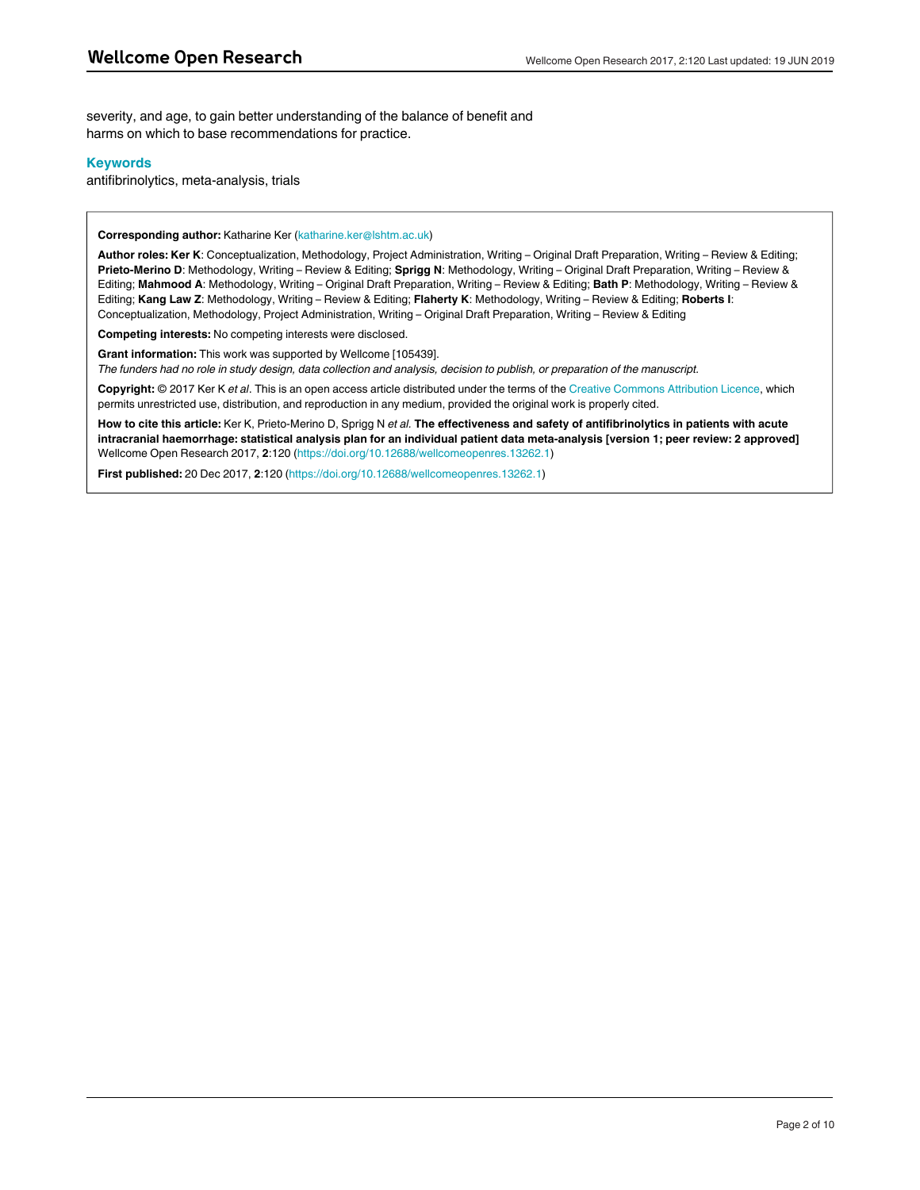severity, and age, to gain better understanding of the balance of benefit and harms on which to base recommendations for practice.

## **Keywords**

antifibrinolytics, meta-analysis, trials

**Corresponding author:** Katharine Ker (katharine.ker@lshtm.ac.uk)

**Author roles: Ker K**: Conceptualization, Methodology, Project Administration, Writing – Original Draft Preparation, Writing – Review & Editing; **Prieto-Merino D**: Methodology, Writing – Review & Editing; **Sprigg N**: Methodology, Writing – Original Draft Preparation, Writing – Review & Editing; **Mahmood A**: Methodology, Writing – Original Draft Preparation, Writing – Review & Editing; **Bath P**: Methodology, Writing – Review & Editing; **Kang Law Z**: Methodology, Writing – Review & Editing; **Flaherty K**: Methodology, Writing – Review & Editing; **Roberts I**: Conceptualization, Methodology, Project Administration, Writing – Original Draft Preparation, Writing – Review & Editing

**Competing interests:** No competing interests were disclosed.

**Grant information:** This work was supported by Wellcome [105439].

*The funders had no role in study design, data collection and analysis, decision to publish, or preparation of the manuscript.*

**Copyright:** © 2017 Ker K *et al*. This is an open access article distributed under the terms of the [Creative Commons Attribution Licence,](http://creativecommons.org/licenses/by/4.0/) which permits unrestricted use, distribution, and reproduction in any medium, provided the original work is properly cited.

**How to cite this article:** Ker K, Prieto-Merino D, Sprigg N *et al.* **The effectiveness and safety of antifibrinolytics in patients with acute intracranial haemorrhage: statistical analysis plan for an individual patient data meta-analysis [version 1; peer review: 2 approved]** Wellcome Open Research 2017, **2**:120 (<https://doi.org/10.12688/wellcomeopenres.13262.1>)

**First published:** 20 Dec 2017, **2**:120 [\(https://doi.org/10.12688/wellcomeopenres.13262.1\)](https://doi.org/10.12688/wellcomeopenres.13262.1)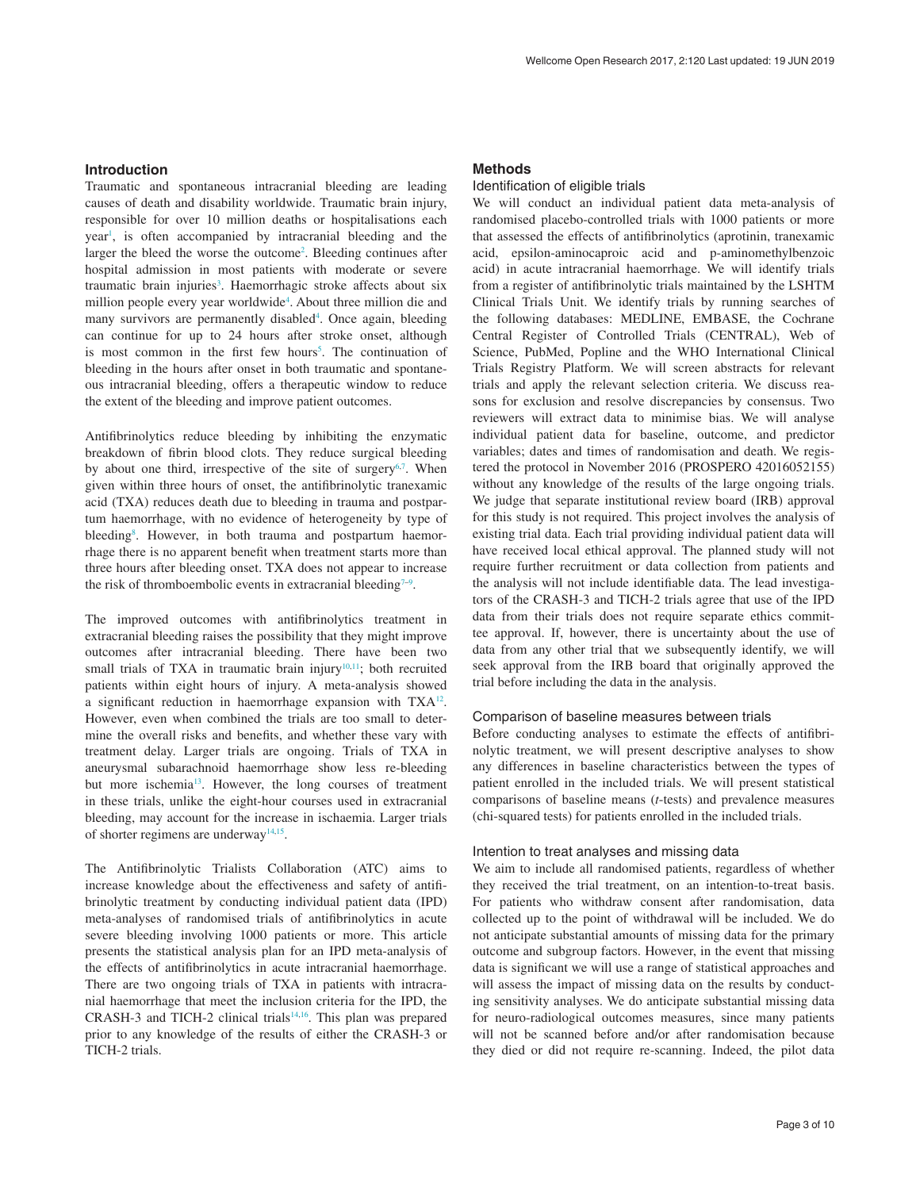Traumatic and spontaneous intracranial bleeding are leading causes of death and disability worldwide. Traumatic brain injury, responsible for over 10 million deaths or hospitalisations each year<sup>1</sup>, is often accompanied by intracranial bleeding and the larger the bleed the worse the outcome<sup>2</sup>. Bleeding continues after hospital admission in most patients with moderate or severe traumatic brain injuries<sup>3</sup>. Haemorrhagic stroke affects about six million people every year worldwide<sup>4</sup>. About three million die and many survivors are permanently disabled<sup>4</sup>. Once again, bleeding can continue for up to 24 hours after stroke onset, although is most common in the first few hours<sup>[5](#page-5-0)</sup>. The continuation of bleeding in the hours after onset in both traumatic and spontaneous intracranial bleeding, offers a therapeutic window to reduce the extent of the bleeding and improve patient outcomes.

Antifibrinolytics reduce bleeding by inhibiting the enzymatic breakdown of fibrin blood clots. They reduce surgical bleeding by about one third, irrespective of the site of surgery<sup>6,7</sup>. When given within three hours of onset, the antifibrinolytic tranexamic acid (TXA) reduces death due to bleeding in trauma and postpartum haemorrhage, with no evidence of heterogeneity by type of bleeding<sup>[8](#page-5-0)</sup>. However, in both trauma and postpartum haemorrhage there is no apparent benefit when treatment starts more than three hours after bleeding onset. TXA does not appear to increase the risk of thromboembolic events in extracranial bleeding<sup> $7-9$ </sup>.

The improved outcomes with antifibrinolytics treatment in extracranial bleeding raises the possibility that they might improve outcomes after intracranial bleeding. There have been two small trials of TXA in traumatic brain injury<sup>10,11</sup>; both recruited patients within eight hours of injury. A meta-analysis showed a significant reduction in haemorrhage expansion with TX[A12](#page-5-0). However, even when combined the trials are too small to determine the overall risks and benefits, and whether these vary with treatment delay. Larger trials are ongoing. Trials of TXA in aneurysmal subarachnoid haemorrhage show less re-bleeding but more ischemia<sup>[13](#page-5-0)</sup>. However, the long courses of treatment in these trials, unlike the eight-hour courses used in extracranial bleeding, may account for the increase in ischaemia. Larger trials of shorter regimens are underway $14,15$ .

The Antifibrinolytic Trialists Collaboration (ATC) aims to increase knowledge about the effectiveness and safety of antifibrinolytic treatment by conducting individual patient data (IPD) meta-analyses of randomised trials of antifibrinolytics in acute severe bleeding involving 1000 patients or more. This article presents the statistical analysis plan for an IPD meta-analysis of the effects of antifibrinolytics in acute intracranial haemorrhage. There are two ongoing trials of TXA in patients with intracranial haemorrhage that meet the inclusion criteria for the IPD, the CRASH-3 and TICH-2 clinical trials<sup>14,16</sup>. This plan was prepared prior to any knowledge of the results of either the CRASH-3 or TICH-2 trials.

#### **Methods**

## Identification of eligible trials

We will conduct an individual patient data meta-analysis of randomised placebo-controlled trials with 1000 patients or more that assessed the effects of antifibrinolytics (aprotinin, tranexamic acid, epsilon-aminocaproic acid and p-aminomethylbenzoic acid) in acute intracranial haemorrhage. We will identify trials from a register of antifibrinolytic trials maintained by the LSHTM Clinical Trials Unit. We identify trials by running searches of the following databases: MEDLINE, EMBASE, the Cochrane Central Register of Controlled Trials (CENTRAL), Web of Science, PubMed, Popline and the WHO International Clinical Trials Registry Platform. We will screen abstracts for relevant trials and apply the relevant selection criteria. We discuss reasons for exclusion and resolve discrepancies by consensus. Two reviewers will extract data to minimise bias. We will analyse individual patient data for baseline, outcome, and predictor variables; dates and times of randomisation and death. We registered the protocol in November 2016 (PROSPERO 42016052155) without any knowledge of the results of the large ongoing trials. We judge that separate institutional review board (IRB) approval for this study is not required. This project involves the analysis of existing trial data. Each trial providing individual patient data will have received local ethical approval. The planned study will not require further recruitment or data collection from patients and the analysis will not include identifiable data. The lead investigators of the CRASH-3 and TICH-2 trials agree that use of the IPD data from their trials does not require separate ethics committee approval. If, however, there is uncertainty about the use of data from any other trial that we subsequently identify, we will seek approval from the IRB board that originally approved the trial before including the data in the analysis.

### Comparison of baseline measures between trials

Before conducting analyses to estimate the effects of antifibrinolytic treatment, we will present descriptive analyses to show any differences in baseline characteristics between the types of patient enrolled in the included trials. We will present statistical comparisons of baseline means (*t*-tests) and prevalence measures (chi-squared tests) for patients enrolled in the included trials.

### Intention to treat analyses and missing data

We aim to include all randomised patients, regardless of whether they received the trial treatment, on an intention-to-treat basis. For patients who withdraw consent after randomisation, data collected up to the point of withdrawal will be included. We do not anticipate substantial amounts of missing data for the primary outcome and subgroup factors. However, in the event that missing data is significant we will use a range of statistical approaches and will assess the impact of missing data on the results by conducting sensitivity analyses. We do anticipate substantial missing data for neuro-radiological outcomes measures, since many patients will not be scanned before and/or after randomisation because they died or did not require re-scanning. Indeed, the pilot data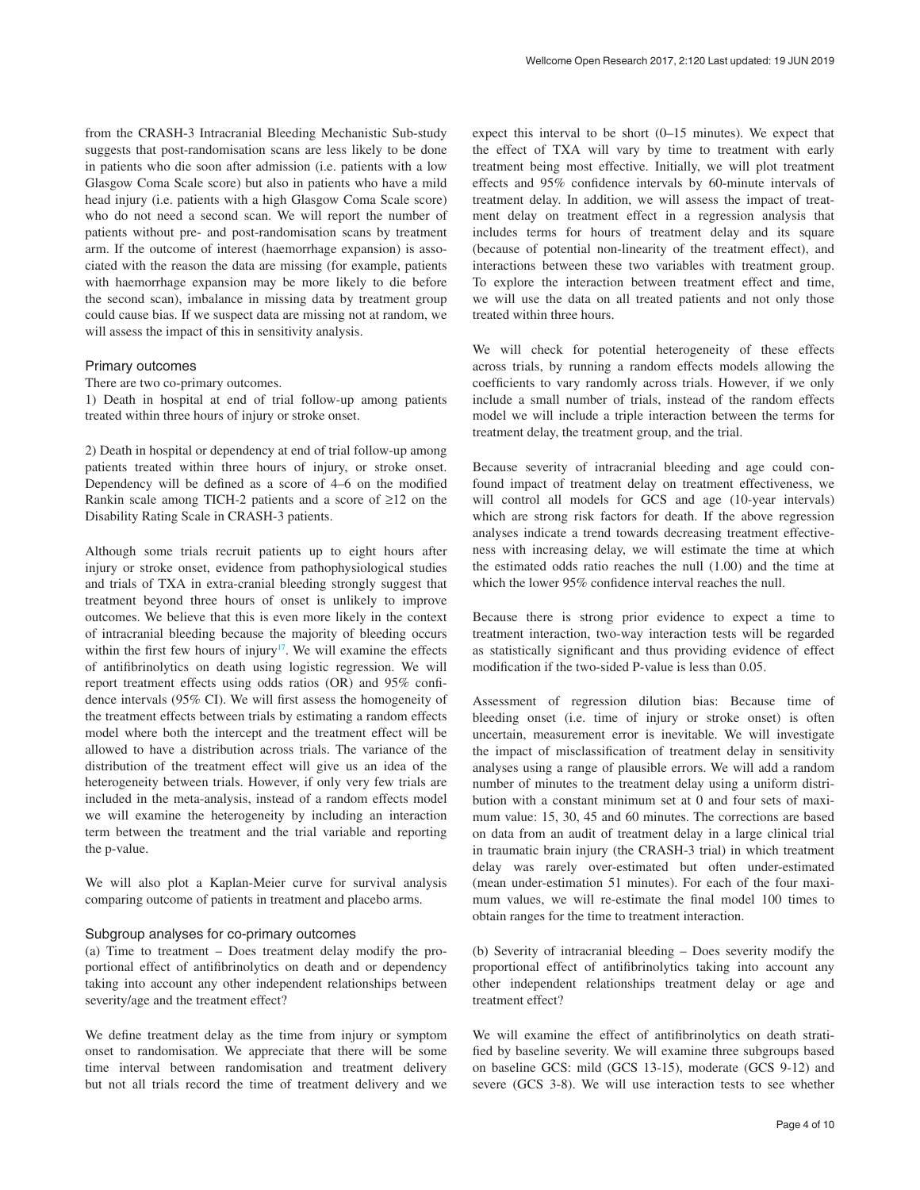from the CRASH-3 Intracranial Bleeding Mechanistic Sub-study suggests that post-randomisation scans are less likely to be done in patients who die soon after admission (i.e. patients with a low Glasgow Coma Scale score) but also in patients who have a mild head injury (i.e. patients with a high Glasgow Coma Scale score) who do not need a second scan. We will report the number of patients without pre- and post-randomisation scans by treatment arm. If the outcome of interest (haemorrhage expansion) is associated with the reason the data are missing (for example, patients with haemorrhage expansion may be more likely to die before the second scan), imbalance in missing data by treatment group could cause bias. If we suspect data are missing not at random, we will assess the impact of this in sensitivity analysis.

## Primary outcomes

There are two co-primary outcomes.

1) Death in hospital at end of trial follow-up among patients treated within three hours of injury or stroke onset.

2) Death in hospital or dependency at end of trial follow-up among patients treated within three hours of injury, or stroke onset. Dependency will be defined as a score of 4–6 on the modified Rankin scale among TICH-2 patients and a score of ≥12 on the Disability Rating Scale in CRASH-3 patients.

Although some trials recruit patients up to eight hours after injury or stroke onset, evidence from pathophysiological studies and trials of TXA in extra-cranial bleeding strongly suggest that treatment beyond three hours of onset is unlikely to improve outcomes. We believe that this is even more likely in the context of intracranial bleeding because the majority of bleeding occurs within the first few hours of injury<sup>17</sup>. We will examine the effects of antifibrinolytics on death using logistic regression. We will report treatment effects using odds ratios (OR) and 95% confidence intervals (95% CI). We will first assess the homogeneity of the treatment effects between trials by estimating a random effects model where both the intercept and the treatment effect will be allowed to have a distribution across trials. The variance of the distribution of the treatment effect will give us an idea of the heterogeneity between trials. However, if only very few trials are included in the meta-analysis, instead of a random effects model we will examine the heterogeneity by including an interaction term between the treatment and the trial variable and reporting the p-value.

We will also plot a Kaplan-Meier curve for survival analysis comparing outcome of patients in treatment and placebo arms.

## Subgroup analyses for co-primary outcomes

(a) Time to treatment – Does treatment delay modify the proportional effect of antifibrinolytics on death and or dependency taking into account any other independent relationships between severity/age and the treatment effect?

We define treatment delay as the time from injury or symptom onset to randomisation. We appreciate that there will be some time interval between randomisation and treatment delivery but not all trials record the time of treatment delivery and we expect this interval to be short (0–15 minutes). We expect that the effect of TXA will vary by time to treatment with early treatment being most effective. Initially, we will plot treatment effects and 95% confidence intervals by 60-minute intervals of treatment delay. In addition, we will assess the impact of treatment delay on treatment effect in a regression analysis that includes terms for hours of treatment delay and its square (because of potential non-linearity of the treatment effect), and interactions between these two variables with treatment group. To explore the interaction between treatment effect and time, we will use the data on all treated patients and not only those treated within three hours.

We will check for potential heterogeneity of these effects across trials, by running a random effects models allowing the coefficients to vary randomly across trials. However, if we only include a small number of trials, instead of the random effects model we will include a triple interaction between the terms for treatment delay, the treatment group, and the trial.

Because severity of intracranial bleeding and age could confound impact of treatment delay on treatment effectiveness, we will control all models for GCS and age (10-year intervals) which are strong risk factors for death. If the above regression analyses indicate a trend towards decreasing treatment effectiveness with increasing delay, we will estimate the time at which the estimated odds ratio reaches the null (1.00) and the time at which the lower 95% confidence interval reaches the null.

Because there is strong prior evidence to expect a time to treatment interaction, two-way interaction tests will be regarded as statistically significant and thus providing evidence of effect modification if the two-sided P-value is less than 0.05.

Assessment of regression dilution bias: Because time of bleeding onset (i.e. time of injury or stroke onset) is often uncertain, measurement error is inevitable. We will investigate the impact of misclassification of treatment delay in sensitivity analyses using a range of plausible errors. We will add a random number of minutes to the treatment delay using a uniform distribution with a constant minimum set at 0 and four sets of maximum value: 15, 30, 45 and 60 minutes. The corrections are based on data from an audit of treatment delay in a large clinical trial in traumatic brain injury (the CRASH-3 trial) in which treatment delay was rarely over-estimated but often under-estimated (mean under-estimation 51 minutes). For each of the four maximum values, we will re-estimate the final model 100 times to obtain ranges for the time to treatment interaction.

(b) Severity of intracranial bleeding – Does severity modify the proportional effect of antifibrinolytics taking into account any other independent relationships treatment delay or age and treatment effect?

We will examine the effect of antifibrinolytics on death stratified by baseline severity. We will examine three subgroups based on baseline GCS: mild (GCS 13-15), moderate (GCS 9-12) and severe (GCS 3-8). We will use interaction tests to see whether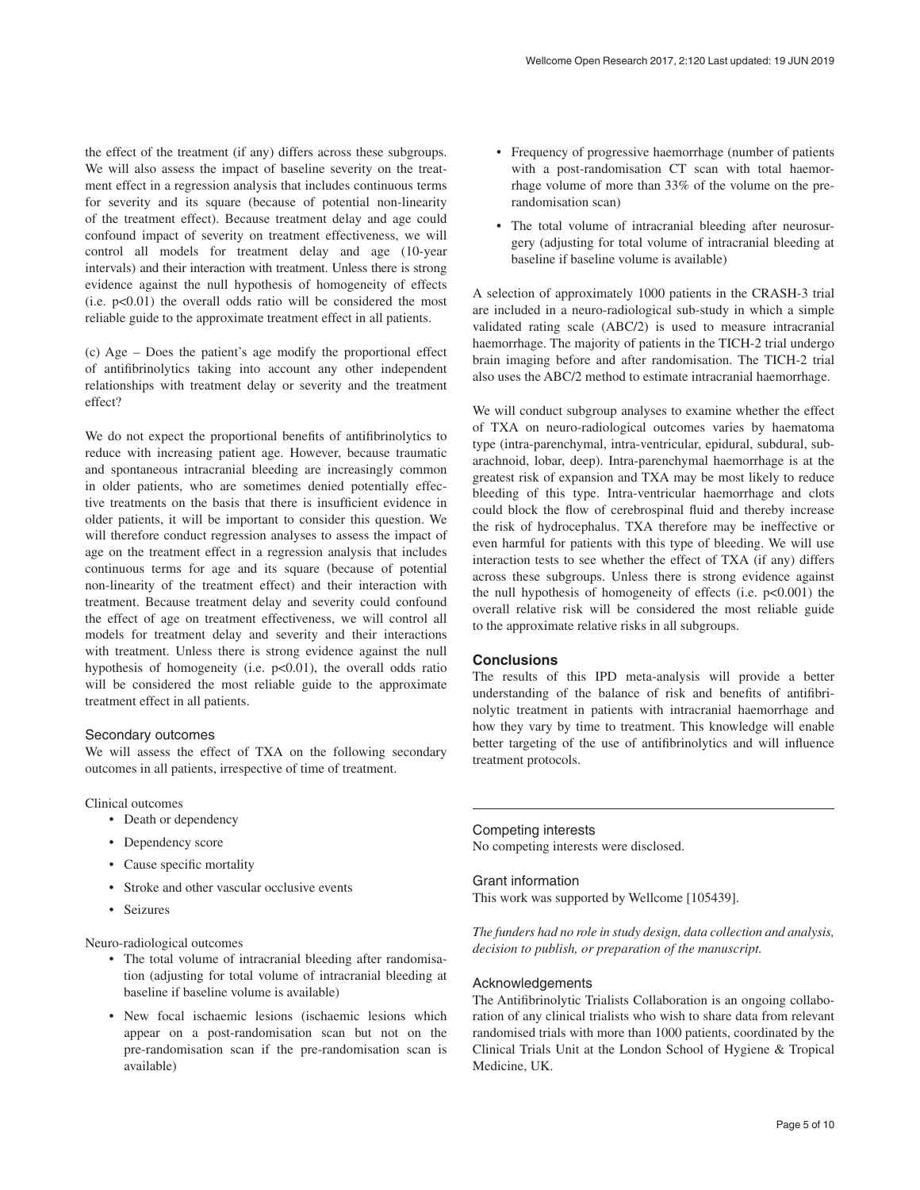the effect of the treatment (if any) differs across these subgroups. We will also assess the impact of baseline severity on the treatment effect in a regression analysis that includes continuous terms for severity and its square (because of potential non-linearity of the treatment effect). Because treatment delay and age could confound impact of severity on treatment effectiveness, we will control all models for treatment delay and age (10-year intervals) and their interaction with treatment. Unless there is strong evidence against the null hypothesis of homogeneity of effects (i.e.  $p<0.01$ ) the overall odds ratio will be considered the most reliable guide to the approximate treatment effect in all patients.

(c) Age – Does the patient's age modify the proportional effect of antifibrinolytics taking into account any other independent relationships with treatment delay or severity and the treatment effect?

We do not expect the proportional benefits of antifibrinolytics to reduce with increasing patient age. However, because traumatic and spontaneous intracranial bleeding are increasingly common in older patients, who are sometimes denied potentially effective treatments on the basis that there is insufficient evidence in older patients, it will be important to consider this question. We will therefore conduct regression analyses to assess the impact of age on the treatment effect in a regression analysis that includes continuous terms for age and its square (because of potential non-linearity of the treatment effect) and their interaction with treatment. Because treatment delay and severity could confound the effect of age on treatment effectiveness, we will control all models for treatment delay and severity and their interactions with treatment. Unless there is strong evidence against the null hypothesis of homogeneity (i.e. p<0.01), the overall odds ratio will be considered the most reliable guide to the approximate treatment effect in all patients.

### Secondary outcomes

We will assess the effect of TXA on the following secondary outcomes in all patients, irrespective of time of treatment.

Clinical outcomes

- Death or dependency
- Dependency score
- Cause specific mortality
- Stroke and other vascular occlusive events
- Seizures

Neuro-radiological outcomes

- The total volume of intracranial bleeding after randomisation (adjusting for total volume of intracranial bleeding at baseline if baseline volume is available)
- New focal ischaemic lesions (ischaemic lesions which appear on a post-randomisation scan but not on the pre-randomisation scan if the pre-randomisation scan is available)
- Frequency of progressive haemorrhage (number of patients with a post-randomisation CT scan with total haemorrhage volume of more than 33% of the volume on the prerandomisation scan)
- The total volume of intracranial bleeding after neurosurgery (adjusting for total volume of intracranial bleeding at baseline if baseline volume is available)

A selection of approximately 1000 patients in the CRASH-3 trial are included in a neuro-radiological sub-study in which a simple validated rating scale (ABC/2) is used to measure intracranial haemorrhage. The majority of patients in the TICH-2 trial undergo brain imaging before and after randomisation. The TICH-2 trial also uses the ABC/2 method to estimate intracranial haemorrhage.

We will conduct subgroup analyses to examine whether the effect of TXA on neuro-radiological outcomes varies by haematoma type (intra-parenchymal, intra-ventricular, epidural, subdural, subarachnoid, lobar, deep). Intra-parenchymal haemorrhage is at the greatest risk of expansion and TXA may be most likely to reduce bleeding of this type. Intra-ventricular haemorrhage and clots could block the flow of cerebrospinal fluid and thereby increase the risk of hydrocephalus. TXA therefore may be ineffective or even harmful for patients with this type of bleeding. We will use interaction tests to see whether the effect of TXA (if any) differs across these subgroups. Unless there is strong evidence against the null hypothesis of homogeneity of effects (i.e. p<0.001) the overall relative risk will be considered the most reliable guide to the approximate relative risks in all subgroups.

## **Conclusions**

The results of this IPD meta-analysis will provide a better understanding of the balance of risk and benefits of antifibrinolytic treatment in patients with intracranial haemorrhage and how they vary by time to treatment. This knowledge will enable better targeting of the use of antifibrinolytics and will influence treatment protocols.

## Competing interests

No competing interests were disclosed.

#### Grant information

This work was supported by Wellcome [105439].

*The funders had no role in study design, data collection and analysis, decision to publish, or preparation of the manuscript.*

## Acknowledgements

The Antifibrinolytic Trialists Collaboration is an ongoing collaboration of any clinical trialists who wish to share data from relevant randomised trials with more than 1000 patients, coordinated by the Clinical Trials Unit at the London School of Hygiene & Tropical Medicine, UK.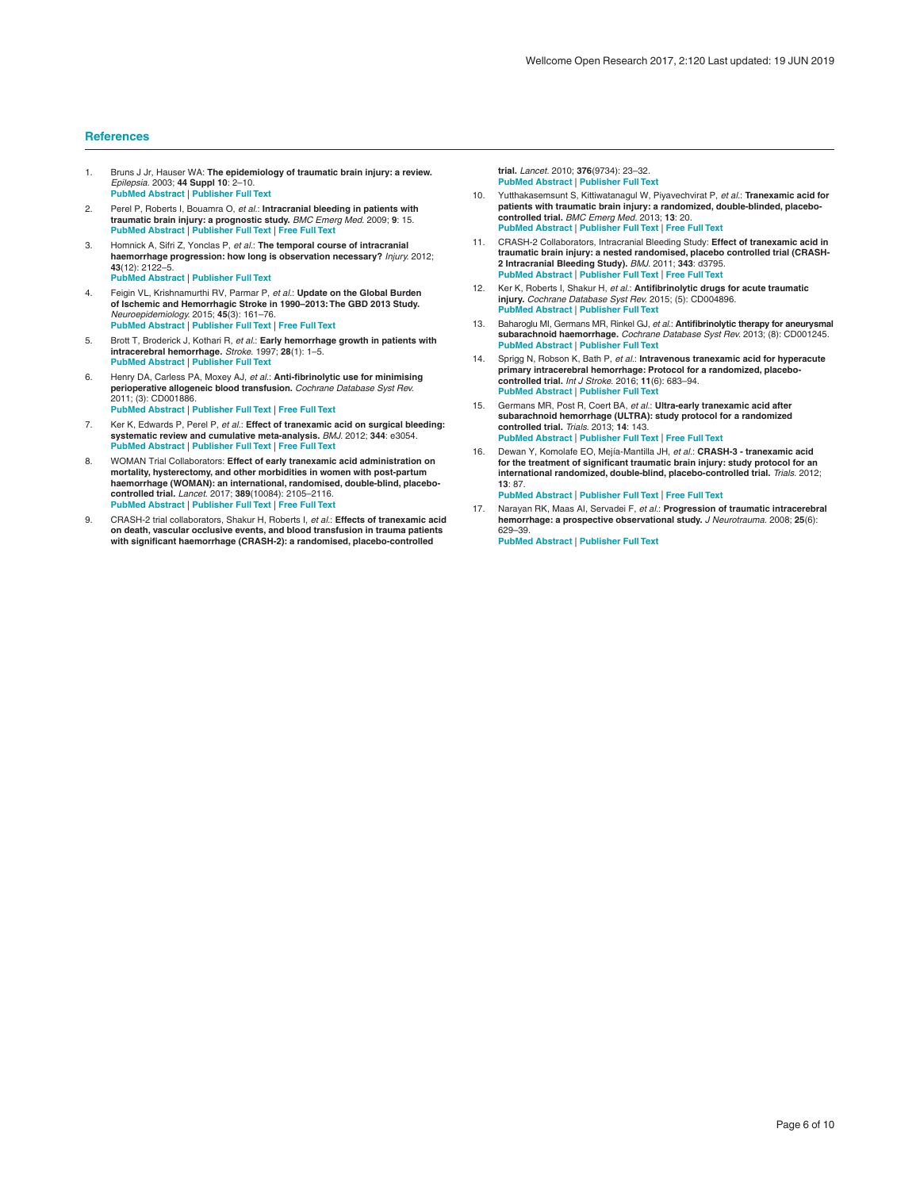#### <span id="page-5-0"></span>**References**

- 1. Bruns J Jr, Hauser WA: **The epidemiology of traumatic brain injury: a review.** *Epilepsia.* 2003; **44 Suppl 10**: 2–10. **[PubMed Abstract](http://www.ncbi.nlm.nih.gov/pubmed/14511388)** | **[Publisher Full Text](http://dx.doi.org/10.1046/j.1528-1157.44.s10.3.x)**
- 2. Perel P, Roberts I, Bouamra O, *et al.*: **Intracranial bleeding in patients with traumatic brain injury: a prognostic study.** *BMC Emerg Med.* 2009; **9**: 15. **[PubMed Abstract](http://www.ncbi.nlm.nih.gov/pubmed/19650902)** | **[Publisher Full Text](http://dx.doi.org/10.1186/1471-227X-9-15)** | **[Free Full Text](http://www.ncbi.nlm.nih.gov/pmc/articles/2735732)**
- 3. Homnick A, Sifri Z, Yonclas P, *et al.*: **The temporal course of intracranial haemorrhage progression: how long is observation necessary?** *Injury.* 2012; **43**(12): 2122–5. **[PubMed Abstract](http://www.ncbi.nlm.nih.gov/pubmed/22658418)** | **[Publisher Full Text](http://dx.doi.org/10.1016/j.injury.2012.04.013)**
- 4. Feigin VL, Krishnamurthi RV, Parmar P, *et al.*: **Update on the Global Burden of Ischemic and Hemorrhagic Stroke in 1990–2013: The GBD 2013 Study.** *Neuroepidemiology.* 2015; **45**(3): 161–76. **[PubMed Abstract](http://www.ncbi.nlm.nih.gov/pubmed/26505981)** | **[Publisher Full Text](http://dx.doi.org/10.1159/000441085)** | **[Free Full Text](http://www.ncbi.nlm.nih.gov/pmc/articles/4633282)**
- 5. Brott T, Broderick J, Kothari R, *et al.*: **Early hemorrhage growth in patients with intracerebral hemorrhage.** *Stroke.* 1997; **28**(1): 1–5. **[PubMed Abstract](http://www.ncbi.nlm.nih.gov/pubmed/8996478)** | **[Publisher Full Text](http://dx.doi.org/10.1161/01.STR.28.1.1)**
- 6. Henry DA, Carless PA, Moxey AJ, *et al.*: **Anti-fibrinolytic use for minimising perioperative allogeneic blood transfusion.** *Cochrane Database Syst Rev.* 2011; (3): CD001886.
- **[PubMed Abstract](http://www.ncbi.nlm.nih.gov/pubmed/21412876)** | **[Publisher Full Text](http://dx.doi.org/10.1002/14651858.CD001886.pub4)** | **[Free Full Text](http://www.ncbi.nlm.nih.gov/pmc/articles/4234031)**
- 7. Ker K, Edwards P, Perel P, *et al.*: **Effect of tranexamic acid on surgical bleeding: systematic review and cumulative meta-analysis.** *BMJ.* 2012; **344**: e3054. **[PubMed Abstract](http://www.ncbi.nlm.nih.gov/pubmed/22611164)** | **[Publisher Full Text](http://dx.doi.org/10.1136/bmj.e3054)** | **[Free Full Text](http://www.ncbi.nlm.nih.gov/pmc/articles/3356857)**
- 8. WOMAN Trial Collaborators: **Effect of early tranexamic acid administration on mortality, hysterectomy, and other morbidities in women with post-partum haemorrhage (WOMAN): an international, randomised, double-blind, placebocontrolled trial.** *Lancet.* 2017; **389**(10084): 2105–2116. **[PubMed Abstract](http://www.ncbi.nlm.nih.gov/pubmed/28456509)** | **[Publisher Full Text](http://dx.doi.org/10.1016/S0140-6736(17)30638-4)** | **[Free Full Text](http://www.ncbi.nlm.nih.gov/pmc/articles/5446563)**
- 9. CRASH-2 trial collaborators, Shakur H, Roberts I, *et al.*: **Effects of tranexamic acid on death, vascular occlusive events, and blood transfusion in trauma patients with significant haemorrhage (CRASH-2): a randomised, placebo-controlled**

**trial.** *Lancet.* 2010; **376**(9734): 23–32. **[PubMed Abstract](http://www.ncbi.nlm.nih.gov/pubmed/20554319)** | **[Publisher Full Text](http://dx.doi.org/10.1016/S0140-6736(10)60835-5)**

- 10. Yutthakasemsunt S, Kittiwatanagul W, Piyavechvirat P, *et al.*: **Tranexamic acid for**  patients with traumatic brain injury: a randomized, double-blinded, placebo**controlled trial.** *BMC Emerg Med.* 2013; **13**: 20. **[PubMed Abstract](http://www.ncbi.nlm.nih.gov/pubmed/24267513)** | **[Publisher Full Text](http://dx.doi.org/10.1186/1471-227X-13-20)** | **[Free Full Text](http://www.ncbi.nlm.nih.gov/pmc/articles/4221638)**
- 11. CRASH-2 Collaborators, Intracranial Bleeding Study: **Effect of tranexamic acid in traumatic brain injury: a nested randomised, placebo controlled trial (CRASH-2 Intracranial Bleeding Study).** *BMJ.* 2011; **343**: d3795. **[PubMed Abstract](http://www.ncbi.nlm.nih.gov/pubmed/21724564)** | **[Publisher Full Text](http://dx.doi.org/10.1136/bmj.d3795)** | **[Free Full Text](http://www.ncbi.nlm.nih.gov/pmc/articles/3128457)**
- 12. Ker K, Roberts I, Shakur H, *et al.*: **Antifibrinolytic drugs for acute traumatic injury.** *Cochrane Database Syst Rev.* 2015; (5): CD004896. **[PubMed Abstract](http://www.ncbi.nlm.nih.gov/pubmed/25956410)** | **[Publisher Full Text](http://dx.doi.org/10.1002/14651858.CD004896.pub4)**
- 13. Baharoglu MI, Germans MR, Rinkel GJ, *et al.*: **Antifibrinolytic therapy for aneurysmal subarachnoid haemorrhage.** *Cochrane Database Syst Rev.* 2013; (8): CD001245. **[PubMed Abstract](http://www.ncbi.nlm.nih.gov/pubmed/23990381)** | **[Publisher Full Text](http://dx.doi.org/10.1002/14651858.CD001245.pub2)**
- 14. Sprigg N, Robson K, Bath P, *et al.*: **Intravenous tranexamic acid for hyperacute primary intracerebral hemorrhage: Protocol for a randomized, placebocontrolled trial.** *Int J Stroke.* 2016; **11**(6): 683–94. **[PubMed Abstract](http://www.ncbi.nlm.nih.gov/pubmed/27048694)** | **[Publisher Full Text](http://dx.doi.org/10.1177/1747493016641960)**
- 15. Germans MR, Post R, Coert BA, *et al.*: **Ultra-early tranexamic acid after subarachnoid hemorrhage (ULTRA): study protocol for a randomized controlled trial.** *Trials.* 2013; **14**: 143. **[PubMed Abstract](http://www.ncbi.nlm.nih.gov/pubmed/23680226)** | **[Publisher Full Text](http://dx.doi.org/10.1186/1745-6215-14-143)** | **[Free Full Text](http://www.ncbi.nlm.nih.gov/pmc/articles/3658919)**
- 16. Dewan Y, Komolafe EO, Mejía-Mantilla JH, *et al.*: **CRASH-3 tranexamic acid for the treatment of significant traumatic brain injury: study protocol for an international randomized, double-blind, placebo-controlled trial.** *Trials.* 2012; **13**: 87. **[PubMed Abstract](http://www.ncbi.nlm.nih.gov/pubmed/22721545)** | **[Publisher Full Text](http://dx.doi.org/10.1186/1745-6215-13-87)** | **[Free Full Text](http://www.ncbi.nlm.nih.gov/pmc/articles/3481366)**
- 17. Narayan RK, Maas AI, Servadei F, *et al.*: **Progression of traumatic intracerebral hemorrhage: a prospective observational study.** *J Neurotrauma.* 2008; **25**(6): 629–39.

**[PubMed Abstract](http://www.ncbi.nlm.nih.gov/pubmed/18491950)** | **[Publisher Full Text](http://dx.doi.org/10.1089/neu.2007.0385)**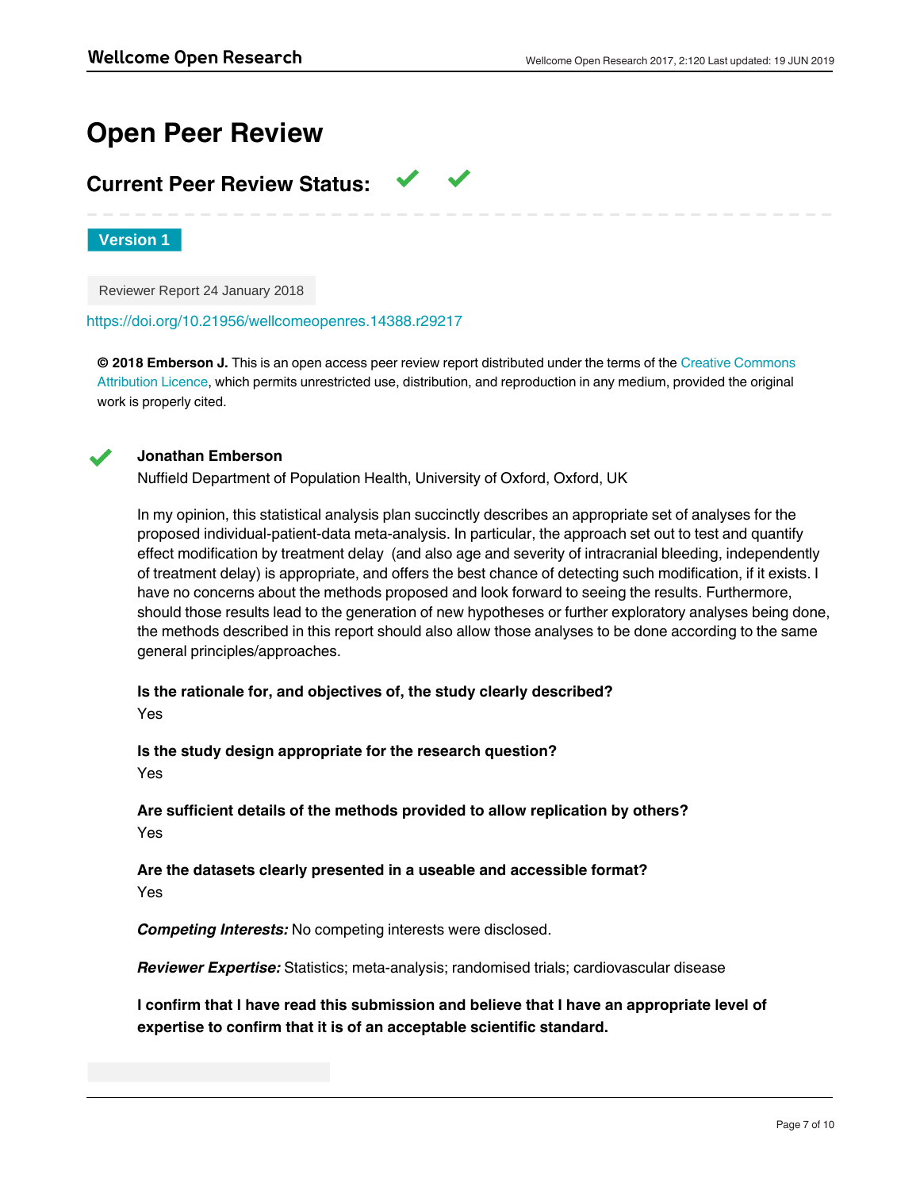# **Open Peer Review**

# **Current Peer Review Status:**

**Version 1**

Reviewer Report 24 January 2018

<https://doi.org/10.21956/wellcomeopenres.14388.r29217>

**© 2018 Emberson J.** This is an open access peer review report distributed under the terms of the [Creative Commons](https://creativecommons.org/licenses/by/4.0/) [Attribution Licence](https://creativecommons.org/licenses/by/4.0/), which permits unrestricted use, distribution, and reproduction in any medium, provided the original work is properly cited.



# **Jonathan Emberson**

Nuffield Department of Population Health, University of Oxford, Oxford, UK

In my opinion, this statistical analysis plan succinctly describes an appropriate set of analyses for the proposed individual-patient-data meta-analysis. In particular, the approach set out to test and quantify effect modification by treatment delay (and also age and severity of intracranial bleeding, independently of treatment delay) is appropriate, and offers the best chance of detecting such modification, if it exists. I have no concerns about the methods proposed and look forward to seeing the results. Furthermore, should those results lead to the generation of new hypotheses or further exploratory analyses being done, the methods described in this report should also allow those analyses to be done according to the same general principles/approaches.

# **Is the rationale for, and objectives of, the study clearly described?**

Yes

**Is the study design appropriate for the research question?** Yes

# **Are sufficient details of the methods provided to allow replication by others?** Yes

# **Are the datasets clearly presented in a useable and accessible format?** Yes

*Competing Interests:* No competing interests were disclosed.

*Reviewer Expertise:* Statistics; meta-analysis; randomised trials; cardiovascular disease

**I confirm that I have read this submission and believe that I have an appropriate level of expertise to confirm that it is of an acceptable scientific standard.**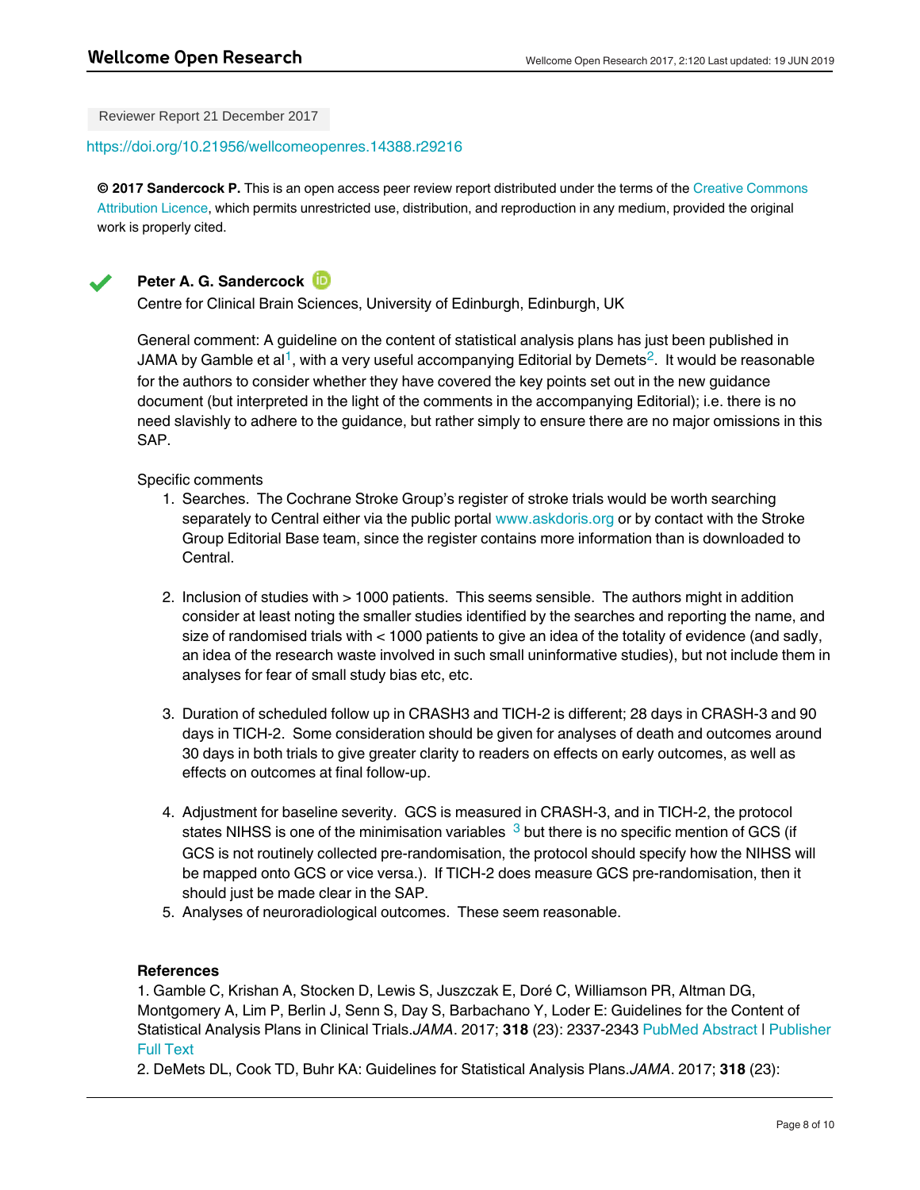Reviewer Report 21 December 2017

## <https://doi.org/10.21956/wellcomeopenres.14388.r29216>

**© 2017 Sandercock P.** This is an open access peer review report distributed under the terms of the [Creative Commons](https://creativecommons.org/licenses/by/4.0/) [Attribution Licence](https://creativecommons.org/licenses/by/4.0/), which permits unrestricted use, distribution, and reproduction in any medium, provided the original work is properly cited.



# **Peter A. G. Sandercock**

Centre for Clinical Brain Sciences, University of Edinburgh, Edinburgh, UK

General comment: A guideline on the content of statistical analysis plans has just been published in JAMA by Gamble et al<sup>[1](#page-7-0)</sup>, with a very useful accompanying Editorial by Demets<sup>[2](#page-7-1)</sup>. It would be reasonable for the authors to consider whether they have covered the key points set out in the new guidance document (but interpreted in the light of the comments in the accompanying Editorial); i.e. there is no need slavishly to adhere to the guidance, but rather simply to ensure there are no major omissions in this SAP.

## Specific comments

- 1. Searches. The Cochrane Stroke Group's register of stroke trials would be worth searching separately to Central either via the public portal [www.askdoris.org](http://www.askdoris.org/) or by contact with the Stroke Group Editorial Base team, since the register contains more information than is downloaded to Central.
- 2. Inclusion of studies with > 1000 patients. This seems sensible. The authors might in addition consider at least noting the smaller studies identified by the searches and reporting the name, and size of randomised trials with < 1000 patients to give an idea of the totality of evidence (and sadly, an idea of the research waste involved in such small uninformative studies), but not include them in analyses for fear of small study bias etc, etc.
- 3. Duration of scheduled follow up in CRASH3 and TICH-2 is different; 28 days in CRASH-3 and 90 days in TICH-2. Some consideration should be given for analyses of death and outcomes around 30 days in both trials to give greater clarity to readers on effects on early outcomes, as well as effects on outcomes at final follow-up.
- 4. Adjustment for baseline severity. GCS is measured in CRASH-3, and in TICH-2, the protocol states NIHSS is one of the minimisation variables  $\,{}^{3}$  $\,{}^{3}$  $\,{}^{3}$  but there is no specific mention of GCS (if GCS is not routinely collected pre-randomisation, the protocol should specify how the NIHSS will be mapped onto GCS or vice versa.). If TICH-2 does measure GCS pre-randomisation, then it should just be made clear in the SAP.
- 5. Analyses of neuroradiological outcomes. These seem reasonable.

2301-2303 [PubMed Abstract](http://www.ncbi.nlm.nih.gov/pubmed/29260205) | [Publisher Full Text](https://doi.org/10.1001/jama.2017.18954)

# **References**

<span id="page-7-0"></span>1. Gamble C, Krishan A, Stocken D, Lewis S, Juszczak E, Doré C, Williamson PR, Altman DG, Montgomery A, Lim P, Berlin J, Senn S, Day S, Barbachano Y, Loder E: Guidelines for the Content of Statistical Analysis Plans in Clinical Trials.*JAMA*. 2017; **318** (23): 2337-2343 [PubMed Abstract](http://www.ncbi.nlm.nih.gov/pubmed/29260229) | [Publisher](https://doi.org/10.1001/jama.2017.18556) [Full Text](https://doi.org/10.1001/jama.2017.18556)

<span id="page-7-1"></span>2. DeMets DL, Cook TD, Buhr KA: Guidelines for Statistical Analysis Plans.*JAMA*. 2017; **318** (23):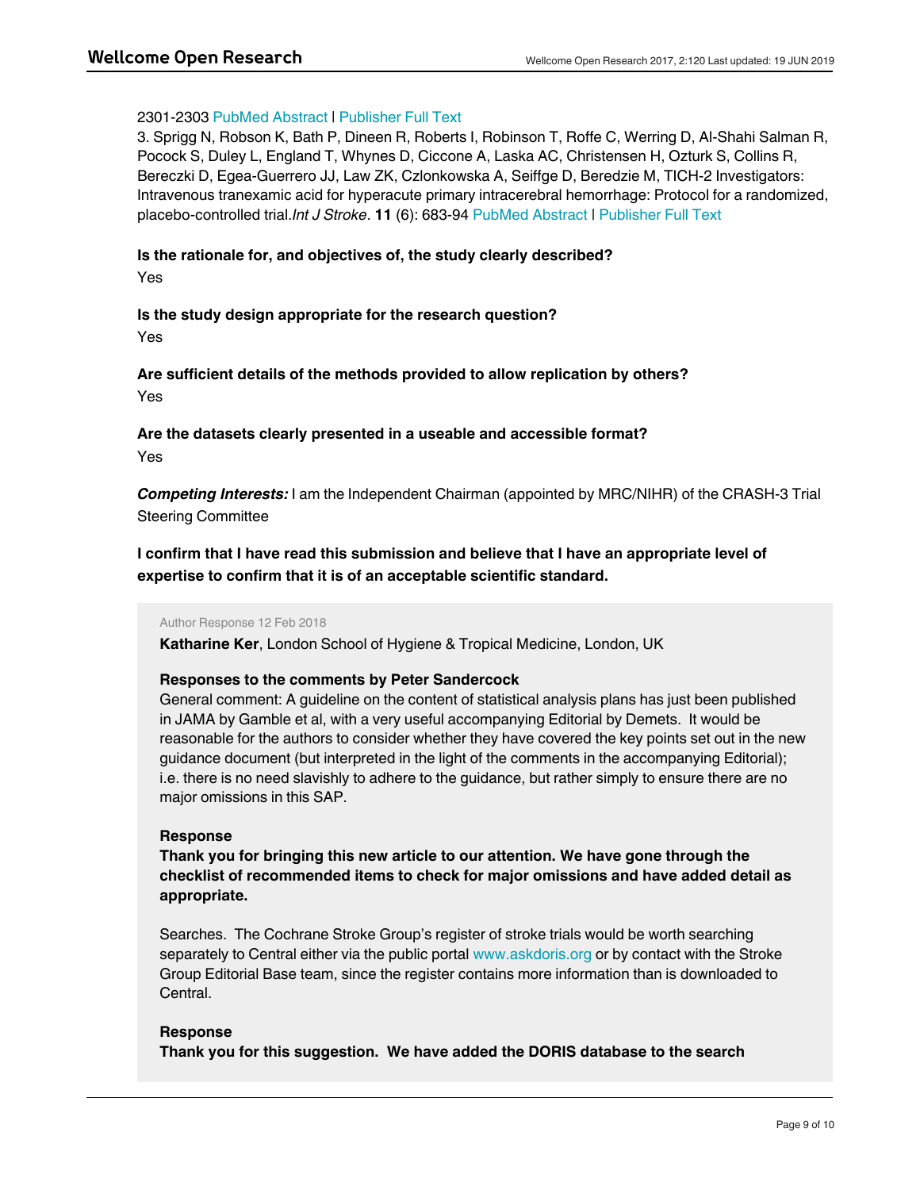# 2301-2303 [PubMed Abstract](http://www.ncbi.nlm.nih.gov/pubmed/29260205) | [Publisher Full Text](https://doi.org/10.1001/jama.2017.18954)

<span id="page-8-0"></span>3. Sprigg N, Robson K, Bath P, Dineen R, Roberts I, Robinson T, Roffe C, Werring D, Al-Shahi Salman R, Pocock S, Duley L, England T, Whynes D, Ciccone A, Laska AC, Christensen H, Ozturk S, Collins R, Bereczki D, Egea-Guerrero JJ, Law ZK, Czlonkowska A, Seiffge D, Beredzie M, TICH-2 Investigators: Intravenous tranexamic acid for hyperacute primary intracerebral hemorrhage: Protocol for a randomized, placebo-controlled trial.*Int J Stroke*. **11** (6): 683-94 [PubMed Abstract](http://www.ncbi.nlm.nih.gov/pubmed/27048694) | [Publisher Full Text](https://doi.org/10.1177/1747493016641960)

# **Is the rationale for, and objectives of, the study clearly described?**

Yes

# **Is the study design appropriate for the research question?**

Yes

**Are sufficient details of the methods provided to allow replication by others?** Yes

# **Are the datasets clearly presented in a useable and accessible format?** Yes

*Competing Interests:* I am the Independent Chairman (appointed by MRC/NIHR) of the CRASH-3 Trial Steering Committee

# **I confirm that I have read this submission and believe that I have an appropriate level of expertise to confirm that it is of an acceptable scientific standard.**

## Author Response 12 Feb 2018

**Katharine Ker**, London School of Hygiene & Tropical Medicine, London, UK

# **Responses to the comments by Peter Sandercock**

General comment: A guideline on the content of statistical analysis plans has just been published in JAMA by Gamble et al, with a very useful accompanying Editorial by Demets. It would be reasonable for the authors to consider whether they have covered the key points set out in the new guidance document (but interpreted in the light of the comments in the accompanying Editorial); i.e. there is no need slavishly to adhere to the guidance, but rather simply to ensure there are no major omissions in this SAP.

# **Response**

**Thank you for bringing this new article to our attention. We have gone through the checklist of recommended items to check for major omissions and have added detail as appropriate.**

Searches. The Cochrane Stroke Group's register of stroke trials would be worth searching separately to Central either via the public portal [www.askdoris.org](http://www.askdoris.org/) or by contact with the Stroke Group Editorial Base team, since the register contains more information than is downloaded to Central.

# **Response**

**strategy.** 

**Thank you for this suggestion. We have added the DORIS database to the search**